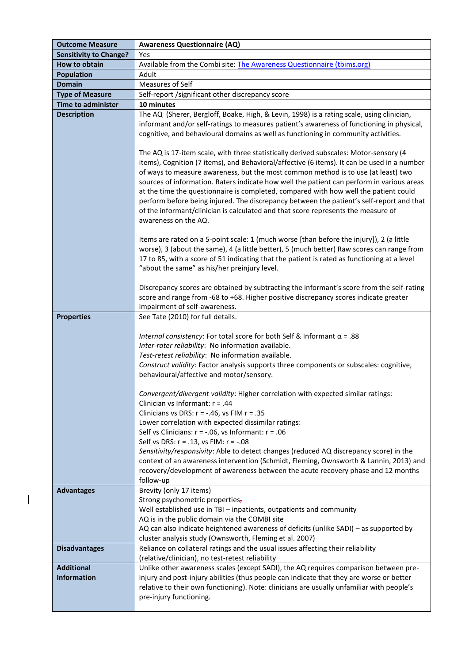| <b>Outcome Measure</b>                  | <b>Awareness Questionnaire (AQ)</b>                                                                                                                                                                                                                                                                                                                                                                                                                                                                                                                                                                                                                                                                                                                                                                                                                                                                                                                                                                                                                                                                                                                                                                                                                                                                                                                                                           |
|-----------------------------------------|-----------------------------------------------------------------------------------------------------------------------------------------------------------------------------------------------------------------------------------------------------------------------------------------------------------------------------------------------------------------------------------------------------------------------------------------------------------------------------------------------------------------------------------------------------------------------------------------------------------------------------------------------------------------------------------------------------------------------------------------------------------------------------------------------------------------------------------------------------------------------------------------------------------------------------------------------------------------------------------------------------------------------------------------------------------------------------------------------------------------------------------------------------------------------------------------------------------------------------------------------------------------------------------------------------------------------------------------------------------------------------------------------|
| <b>Sensitivity to Change?</b>           | Yes                                                                                                                                                                                                                                                                                                                                                                                                                                                                                                                                                                                                                                                                                                                                                                                                                                                                                                                                                                                                                                                                                                                                                                                                                                                                                                                                                                                           |
| How to obtain                           | Available from the Combi site: The Awareness Questionnaire (tbims.org)                                                                                                                                                                                                                                                                                                                                                                                                                                                                                                                                                                                                                                                                                                                                                                                                                                                                                                                                                                                                                                                                                                                                                                                                                                                                                                                        |
| <b>Population</b>                       | Adult                                                                                                                                                                                                                                                                                                                                                                                                                                                                                                                                                                                                                                                                                                                                                                                                                                                                                                                                                                                                                                                                                                                                                                                                                                                                                                                                                                                         |
| <b>Domain</b>                           | Measures of Self                                                                                                                                                                                                                                                                                                                                                                                                                                                                                                                                                                                                                                                                                                                                                                                                                                                                                                                                                                                                                                                                                                                                                                                                                                                                                                                                                                              |
| <b>Type of Measure</b>                  | Self-report /significant other discrepancy score                                                                                                                                                                                                                                                                                                                                                                                                                                                                                                                                                                                                                                                                                                                                                                                                                                                                                                                                                                                                                                                                                                                                                                                                                                                                                                                                              |
| <b>Time to administer</b>               | 10 minutes                                                                                                                                                                                                                                                                                                                                                                                                                                                                                                                                                                                                                                                                                                                                                                                                                                                                                                                                                                                                                                                                                                                                                                                                                                                                                                                                                                                    |
| <b>Description</b>                      | The AQ (Sherer, Bergloff, Boake, High, & Levin, 1998) is a rating scale, using clinician,<br>informant and/or self-ratings to measures patient's awareness of functioning in physical,<br>cognitive, and behavioural domains as well as functioning in community activities.<br>The AQ is 17-item scale, with three statistically derived subscales: Motor-sensory (4<br>items), Cognition (7 items), and Behavioral/affective (6 items). It can be used in a number<br>of ways to measure awareness, but the most common method is to use (at least) two<br>sources of information. Raters indicate how well the patient can perform in various areas<br>at the time the questionnaire is completed, compared with how well the patient could<br>perform before being injured. The discrepancy between the patient's self-report and that<br>of the informant/clinician is calculated and that score represents the measure of<br>awareness on the AQ.<br>Items are rated on a 5-point scale: 1 (much worse [than before the injury]), 2 (a little<br>worse), 3 (about the same), 4 (a little better), 5 (much better) Raw scores can range from<br>17 to 85, with a score of 51 indicating that the patient is rated as functioning at a level<br>"about the same" as his/her preinjury level.<br>Discrepancy scores are obtained by subtracting the informant's score from the self-rating |
|                                         | score and range from -68 to +68. Higher positive discrepancy scores indicate greater<br>impairment of self-awareness.                                                                                                                                                                                                                                                                                                                                                                                                                                                                                                                                                                                                                                                                                                                                                                                                                                                                                                                                                                                                                                                                                                                                                                                                                                                                         |
| <b>Properties</b>                       | See Tate (2010) for full details.                                                                                                                                                                                                                                                                                                                                                                                                                                                                                                                                                                                                                                                                                                                                                                                                                                                                                                                                                                                                                                                                                                                                                                                                                                                                                                                                                             |
|                                         | Internal consistency: For total score for both Self & Informant $\alpha$ = .88<br>Inter-rater reliability: No information available.<br>Test-retest reliability: No information available.<br>Construct validity: Factor analysis supports three components or subscales: cognitive,<br>behavioural/affective and motor/sensory.<br>Convergent/divergent validity: Higher correlation with expected similar ratings:<br>Clinician vs Informant: $r = .44$<br>Clinicians vs DRS: $r = -.46$ , vs FIM $r = .35$<br>Lower correlation with expected dissimilar ratings:<br>Self vs Clinicians: $r = -.06$ , vs Informant: $r = .06$<br>Self vs DRS: $r = .13$ , vs FIM: $r = -.08$<br>Sensitivity/responsivity: Able to detect changes (reduced AQ discrepancy score) in the<br>context of an awareness intervention (Schmidt, Fleming, Ownsworth & Lannin, 2013) and<br>recovery/development of awareness between the acute recovery phase and 12 months<br>follow-up                                                                                                                                                                                                                                                                                                                                                                                                                           |
| <b>Advantages</b>                       | Brevity (only 17 items)                                                                                                                                                                                                                                                                                                                                                                                                                                                                                                                                                                                                                                                                                                                                                                                                                                                                                                                                                                                                                                                                                                                                                                                                                                                                                                                                                                       |
|                                         | Strong psychometric properties-<br>Well established use in TBI - inpatients, outpatients and community<br>AQ is in the public domain via the COMBI site<br>AQ can also indicate heightened awareness of deficits (unlike SADI) - as supported by                                                                                                                                                                                                                                                                                                                                                                                                                                                                                                                                                                                                                                                                                                                                                                                                                                                                                                                                                                                                                                                                                                                                              |
|                                         | cluster analysis study (Ownsworth, Fleming et al. 2007)                                                                                                                                                                                                                                                                                                                                                                                                                                                                                                                                                                                                                                                                                                                                                                                                                                                                                                                                                                                                                                                                                                                                                                                                                                                                                                                                       |
| <b>Disadvantages</b>                    | Reliance on collateral ratings and the usual issues affecting their reliability<br>(relative/clinician), no test-retest reliability                                                                                                                                                                                                                                                                                                                                                                                                                                                                                                                                                                                                                                                                                                                                                                                                                                                                                                                                                                                                                                                                                                                                                                                                                                                           |
| <b>Additional</b><br><b>Information</b> | Unlike other awareness scales (except SADI), the AQ requires comparison between pre-<br>injury and post-injury abilities (thus people can indicate that they are worse or better<br>relative to their own functioning). Note: clinicians are usually unfamiliar with people's<br>pre-injury functioning.                                                                                                                                                                                                                                                                                                                                                                                                                                                                                                                                                                                                                                                                                                                                                                                                                                                                                                                                                                                                                                                                                      |

 $\overline{\phantom{a}}$